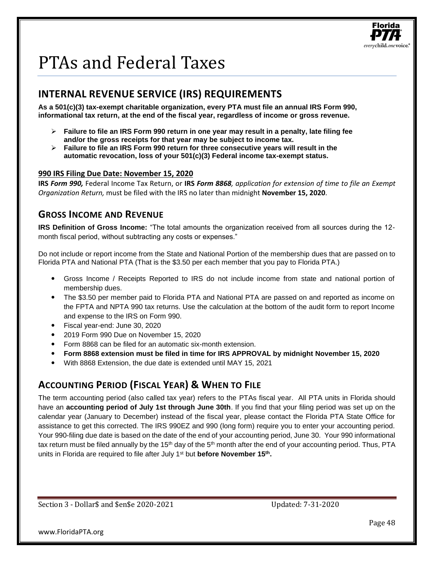

# PTAs and Federal Taxes

# **INTERNAL REVENUE SERVICE (IRS) REQUIREMENTS**

**As a 501(c)(3) tax-exempt charitable organization, every PTA must file an annual IRS Form 990, informational tax return, at the end of the fiscal year, regardless of income or gross revenue.** 

- ➢ **Failure to file an IRS Form 990 return in one year may result in a penalty, late filing fee and/or the gross receipts for that year may be subject to income tax.**
- ➢ **Failure to file an IRS Form 990 return for three consecutive years will result in the automatic revocation, loss of your 501(c)(3) Federal income tax-exempt status.**

#### **990 IRS Filing Due Date: November 15, 2020**

**IRS** *Form 990,* Federal Income Tax Return, or **IRS** *Form 8868, application for extension of time to file an Exempt Organization Return,* must be filed with the IRS no later than midnight **November 15, 2020**.

## **GROSS INCOME AND REVENUE**

**IRS Definition of Gross Income:** "The total amounts the organization received from all sources during the 12 month fiscal period, without subtracting any costs or expenses."

Do not include or report income from the State and National Portion of the membership dues that are passed on to Florida PTA and National PTA (That is the \$3.50 per each member that you pay to Florida PTA.)

- Gross Income / Receipts Reported to IRS do not include income from state and national portion of membership dues.
- The \$3.50 per member paid to Florida PTA and National PTA are passed on and reported as income on the FPTA and NPTA 990 tax returns. Use the calculation at the bottom of the audit form to report Income and expense to the IRS on Form 990.
- Fiscal year-end: June 30, 2020
- 2019 Form 990 Due on November 15, 2020
- Form 8868 can be filed for an automatic six-month extension.
- **Form 8868 extension must be filed in time for IRS APPROVAL by midnight November 15, 2020**
- With 8868 Extension, the due date is extended until MAY 15, 2021

## **ACCOUNTING PERIOD (FISCAL YEAR) & WHEN TO FILE**

The term accounting period (also called tax year) refers to the PTAs fiscal year. All PTA units in Florida should have an **accounting period of July 1st through June 30th**. If you find that your filing period was set up on the calendar year (January to December) instead of the fiscal year, please contact the Florida PTA State Office for assistance to get this corrected. The IRS 990EZ and 990 (long form) require you to enter your accounting period. Your 990-filing due date is based on the date of the end of your accounting period, June 30. Your 990 informational tax return must be filed annually by the 15<sup>th</sup> day of the 5<sup>th</sup> month after the end of your accounting period. Thus, PTA units in Florida are required to file after July 1st but **before November 15th .**

Section 3 - Dollar\$ and \$en\$e 2020-2021 Updated: 7-31-2020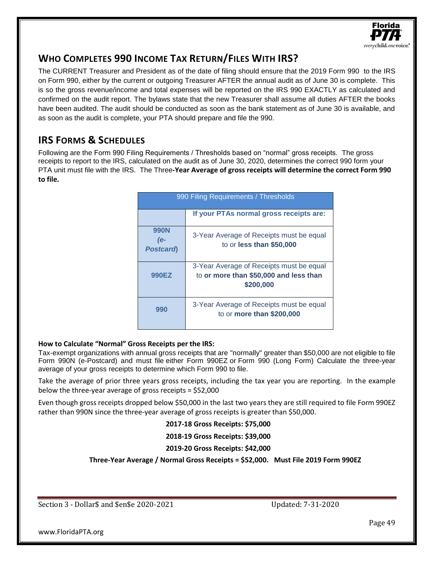

# **WHO COMPLETES 990 INCOME TAX RETURN/FILES WITH IRS?**

The CURRENT Treasurer and President as of the date of filing should ensure that the 2019 Form 990 to the IRS on Form 990, either by the current or outgoing Treasurer AFTER the annual audit as of June 30 is complete. This is so the gross revenue/income and total expenses will be reported on the IRS 990 EXACTLY as calculated and confirmed on the audit report. The bylaws state that the new Treasurer shall assume all duties AFTER the books have been audited. The audit should be conducted as soon as the bank statement as of June 30 is available, and as soon as the audit is complete, your PTA should prepare and file the 990.

# **IRS FORMS & SCHEDULES**

Following are the Form 990 Filing Requirements / Thresholds based on "normal" gross receipts. The gross receipts to report to the IRS, calculated on the audit as of June 30, 2020, determines the correct 990 form your PTA unit must file with the IRS. The Three**-Year Average of gross receipts will determine the correct Form 990 to file.**

| 990 Filing Requirements / Thresholds |                                                                                                 |  |  |
|--------------------------------------|-------------------------------------------------------------------------------------------------|--|--|
|                                      | If your PTAs normal gross receipts are:                                                         |  |  |
| 990N<br>(e-<br><b>Postcard</b>       | 3-Year Average of Receipts must be equal<br>to or less than \$50,000                            |  |  |
| 990EZ                                | 3-Year Average of Receipts must be equal<br>to or more than \$50,000 and less than<br>\$200,000 |  |  |
| 990                                  | 3-Year Average of Receipts must be equal<br>to or more than \$200,000                           |  |  |

#### **How to Calculate "Normal" Gross Receipts per the IRS:**

Tax-exempt organizations with annual gross receipts that are "normally" greater than \$50,000 are not eligible to file Form 990N (e-Postcard) and must file either Form 990EZ or Form 990 (Long Form) Calculate the three-year average of your gross receipts to determine which Form 990 to file.

Take the average of prior three years gross receipts, including the tax year you are reporting. In the example below the three-year average of gross receipts = \$52,000

Even though gross receipts dropped below \$50,000 in the last two years they are still required to file Form 990EZ rather than 990N since the three-year average of gross receipts is greater than \$50,000.

#### **2017-18 Gross Receipts: \$75,000**

**2018-19 Gross Receipts: \$39,000**

#### **2019-20 Gross Receipts: \$42,000**

**Three-Year Average / Normal Gross Receipts = \$52,000. Must File 2019 Form 990EZ**

Section 3 - Dollar\$ and \$en\$e 2020-2021 Updated: 7-31-2020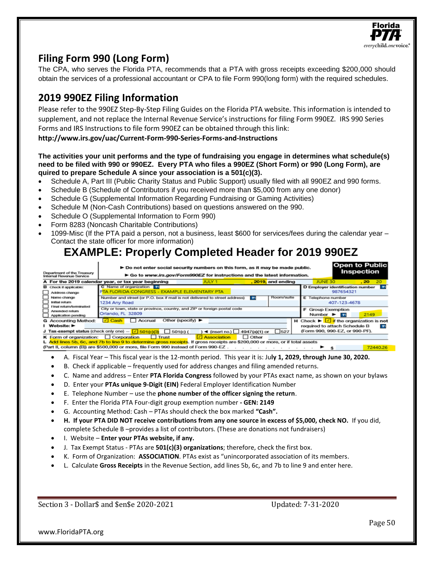

# **Filing Form 990 (Long Form)**

The CPA, who serves the Florida PTA, recommends that a PTA with gross receipts exceeding \$200,000 should obtain the services of a professional accountant or CPA to file Form 990(long form) with the required schedules.

# **2019 990EZ Filing Information**

Please refer to the 990EZ Step-By-Step Filing Guides on the Florida PTA website. This information is intended to supplement, and not replace the Internal Revenue Service's instructions for filing Form 990EZ. IRS 990 Series Forms and IRS Instructions to file form 990EZ can be obtained through this link:

**http://www.irs.gov/uac/Current-Form-990-Series-Forms-and-Instructions**

#### **The activities your unit performs and the type of fundraising you engage in determines what schedule(s) need to be filed with 990 or 990EZ. Every PTA who files a 990EZ (Short Form) or 990 (Long Form), are quired to prepare Schedule A since your association is a 501(c)(3).**

- Schedule A, Part III (Public Charity Status and Public Support) usually filed with all 990EZ and 990 forms.
- Schedule B (Schedule of Contributors if you received more than \$5,000 from any one donor)
- Schedule G (Supplemental Information Regarding Fundraising or Gaming Activities)
- Schedule M (Non-Cash Contributions) based on questions answered on the 990.
- Schedule O (Supplemental Information to Form 990)
- Form 8283 (Noncash Charitable Contributions)
- 1099-Misc (If the PTA paid a person, not a business, least \$600 for services/fees during the calendar year Contact the state officer for more information)

# **EXAMPLE: Properly Completed Header for 2019 990EZ**

|                                                        | Do not enter social security numbers on this form, as it may be made public.                                                                                             |                  | <b>Open to Public</b>                                                          |
|--------------------------------------------------------|--------------------------------------------------------------------------------------------------------------------------------------------------------------------------|------------------|--------------------------------------------------------------------------------|
| Department of the Treasury<br>Internal Revenue Service | $\blacktriangleright$ Go to www.irs.gov/Form990EZ for instructions and the latest information.                                                                           |                  | Inspection                                                                     |
|                                                        | A For the 2019 calendar year, or tax year beginning<br>JULY 1                                                                                                            | 2019, and ending | 20<br>JUNE 30<br>20                                                            |
| <b>B</b> Check if applicable:                          | C Name of organization                                                                                                                                                   |                  | D Employer identification number<br>21                                         |
| Address change                                         | PTA FLORIDA CONGRESS - EXAMPLE ELEMENTARY PTA                                                                                                                            |                  | 987654321                                                                      |
| Name change                                            | Number and street (or P.O. box if mail is not delivered to street address)<br>71                                                                                         | Room/suite       | Е<br>Telephone number                                                          |
| initial roturn                                         | 1234 Any Road                                                                                                                                                            |                  | 407-123-4678                                                                   |
| Final return/terminated                                | City or town, state or province, country, and ZIP or foreign postal code                                                                                                 |                  | <b>Group Exemption</b><br>F                                                    |
| Amended return<br>Application pending                  | Orlando, FL 32809                                                                                                                                                        |                  | 2149<br>Number $\blacktriangleright$<br>71                                     |
| <b>G</b> Accounting Method:                            | Other (specify) $\blacktriangleright$<br>$\sqrt{ }$ Cash<br>Accrual                                                                                                      |                  | H Check $\blacktriangleright$ $\sqrt{\blacksquare}$ if the organization is not |
| I Website: ►                                           |                                                                                                                                                                          |                  | required to attach Schedule B<br>71                                            |
|                                                        | J Tax-exempt status (check only one) - $\boxed{\angle}$ 501(c)(3) $\boxed{\phantom{0}}$ 501(c) (<br>$\blacktriangleleft$ (insert no.) $\blacktriangleleft$ 4947(a)(1) or | 527              | (Form 990, 990-EZ, or 990-PF).                                                 |
| K Form of organization:                                | <b>Association</b><br>$\Box$ Corporation<br>$\Box$ Other<br><b>Trust</b>                                                                                                 |                  |                                                                                |
|                                                        | L Add lines 5b, 6c, and 7b to line 9 to determine gross receipts. If gross receipts are \$200,000 or more, or if total assets                                            |                  |                                                                                |

(Part II, column (B)) are \$500,000 or more, file Form 990 instead of Form 990-EZ. . . . . . . . . . .

- A. Fiscal Year This fiscal year is the 12-month period. This year it is: Ju**ly 1, 2029, through June 30, 2020.**
- B. Check if applicable frequently used for address changes and filing amended returns.
- C. Name and address Enter **PTA Florida Congress** followed by your PTAs exact name, as shown on your bylaws
- D. Enter your **PTAs unique 9-Digit (EIN)** Federal Employer Identification Number
- E. Telephone Number use the **phone number of the officer signing the return**.
- F. Enter the Florida PTA Four-digit group exemption number **- GEN: 2149**
- G. Accounting Method: Cash PTAs should check the box marked **"Cash".**
- **H. If your PTA DID NOT receive contributions from any one source in excess of \$5,000, check NO.** If you did, complete Schedule B –provides a list of contributors. (These are donations not fundraisers)
- I. Website **Enter your PTAs website, if any.**
- J. Tax Exempt Status PTAs are **501(c)(3) organizations**; therefore, check the first box.
- K. Form of Organization: **ASSOCIATION**. PTAs exist as "unincorporated association of its members.
- L. Calculate **Gross Receipts** in the Revenue Section, add lines 5b, 6c, and 7b to line 9 and enter here.

Section 3 - Dollar\$ and \$en\$e 2020-2021 Updated: 7-31-2020

www.FloridaPTA.org

Page 50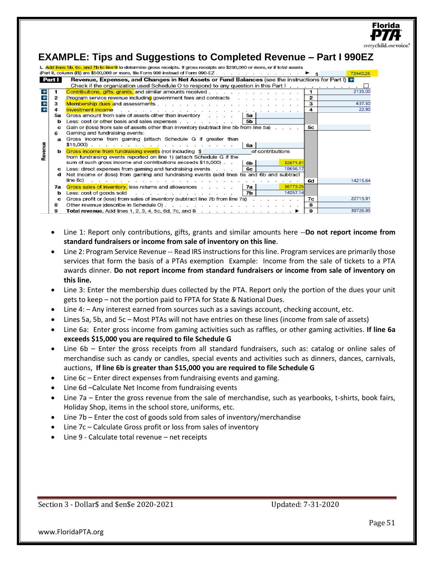|                         |        |                                                                                                                                                                                       |              | everychild.one |
|-------------------------|--------|---------------------------------------------------------------------------------------------------------------------------------------------------------------------------------------|--------------|----------------|
|                         |        | <b>EXAMPLE: Tips and Suggestions to Completed Revenue - Part I 990EZ</b>                                                                                                              |              |                |
|                         |        | L Add lines 5b, 6c, and 7b to line 9 to determine gross receipts. If gross receipts are \$200,000 or more, or if total assets                                                         |              |                |
|                         | Part I | (Part II, column (B)) are \$500,000 or more, file Form 990 instead of Form 990-EZ.<br>Revenue, Expenses, and Changes in Net Assets or Fund Balances (see the instructions for Part I) |              | 72440.26       |
|                         |        | Check if the organization used Schedule O to respond to any question in this Part $\vert \cdot \vert$ . $\vert \cdot \vert$ , $\vert \cdot \vert$ , $\vert \cdot \vert$               |              |                |
|                         |        | <b>Contributions, gifts, grants, and similar amounts received.</b>                                                                                                                    | $\mathbf{1}$ | 2135.00        |
| $\pmb{?}$               | 2      | <b>Program service revenue including government fees and contracts</b>                                                                                                                | $\mathbf{2}$ |                |
| $\pmb{?}$               | 3      |                                                                                                                                                                                       | з            | 637.50         |
| $\overline{\mathbf{r}}$ | 4      | Investment income                                                                                                                                                                     | 4            | 22.90          |
|                         | 5a     | Gross amount from sale of assets other than inventory<br>5а                                                                                                                           |              |                |
|                         | b      | 5 <b>b</b><br>Less: cost or other basis and sales expenses                                                                                                                            |              |                |
|                         | с      | Gain or (loss) from sale of assets other than inventory (subtract line 5b from line 5a).                                                                                              | 5с           |                |
|                         |        | Gaming and fundraising events:                                                                                                                                                        |              |                |
|                         | а      | Gross income from gaming (attach Schedule G if greater than                                                                                                                           |              |                |
| Revenue                 |        | 6a                                                                                                                                                                                    |              |                |
|                         | ь      | Gross income from fundraising events (not including \$<br>of contributions                                                                                                            |              |                |
|                         |        | from fundraising events reported on line 1) (attach Schedule G if the<br>sum of such gross income and contributions exceeds \$15,000).<br>32871.81                                    |              |                |
|                         |        | 6b<br>18656.17<br>6с                                                                                                                                                                  |              |                |
|                         | с<br>d | Less: direct expenses from gaming and fundraising events<br>Net income or (loss) from gaming and fundraising events (add lines 6a and 6b and subtract                                 |              |                |
|                         |        | line 6c)<br>.                                                                                                                                                                         | 6d           | 14215.64       |
|                         | 7a     | 36773.05<br>Gross sales of inventory, less returns and allowances<br>7а                                                                                                               |              |                |
|                         | b      | 14057.14<br>7b<br>Less: cost of goods sold<br>the contract of the contract of the contract of the contract of the contract of the contract of the contract of                         |              |                |
|                         | c      | Gross profit or (loss) from sales of inventory (subtract line 7b from line 7a)                                                                                                        | 7с           | 22715.91       |
|                         | 8      |                                                                                                                                                                                       | 8            |                |
|                         | 9      | Total revenue. Add lines 1, 2, 3, 4, 5c, 6d, 7c, and 8 $\ldots$ , $\ldots$ , $\ldots$ , $\ldots$ , $\blacktriangleright$                                                              | 9            | 39726.95       |

- Line 1: Report only contributions, gifts, grants and similar amounts here --**Do not report income from standard fundraisers or income from sale of inventory on this line**.
- Line 2: Program Service Revenue -- Read IRS instructions for this line. Program services are primarily those services that form the basis of a PTAs exemption Example: Income from the sale of tickets to a PTA awards dinner. **Do not report income from standard fundraisers or income from sale of inventory on this line.**
- Line 3: Enter the membership dues collected by the PTA. Report only the portion of the dues your unit gets to keep – not the portion paid to FPTA for State & National Dues.
- Line 4:  $-$  Any interest earned from sources such as a savings account, checking account, etc.
- Lines 5a, 5b, and 5c Most PTAs will not have entries on these lines (income from sale of assets)
- Line 6a: Enter gross income from gaming activities such as raffles, or other gaming activities. **If line 6a exceeds \$15,000 you are required to file Schedule G**
- Line 6b Enter the gross receipts from all standard fundraisers, such as: catalog or online sales of merchandise such as candy or candles, special events and activities such as dinners, dances, carnivals, auctions, **If line 6b is greater than \$15,000 you are required to file Schedule G**
- Line 6c Enter direct expenses from fundraising events and gaming.
- Line 6d –Calculate Net Income from fundraising events
- Line 7a Enter the gross revenue from the sale of merchandise, such as yearbooks, t-shirts, book fairs, Holiday Shop, items in the school store, uniforms, etc.
- Line 7b Enter the cost of goods sold from sales of inventory/merchandise
- Line 7c Calculate Gross profit or loss from sales of inventory
- Line 9 Calculate total revenue net receipts

Section 3 - Dollar\$ and \$en\$e 2020-2021 Updated: 7-31-2020

www.FloridaPTA.org

Florida

'oice."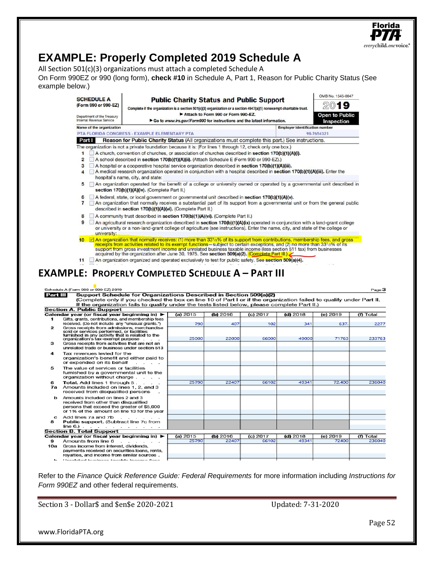

|     | Calendar year (or fiscal year beginning in) $\blacktriangleright$                                                                                                                 | (a) 2015 | (b) $2016$ | $(c)$ 2017 | $(d)$ 2018 | (e) $2019$ | $(n)$ Total |
|-----|-----------------------------------------------------------------------------------------------------------------------------------------------------------------------------------|----------|------------|------------|------------|------------|-------------|
|     | Gifts, grants, contributions, and membership fees                                                                                                                                 |          |            |            |            |            |             |
|     | received. (Do not include any "unusual grants.")                                                                                                                                  | 790      | 407        | 102        | 341        | 637.       | 2277        |
| 2   | Gross receipts from admissions, merchandise<br>sold or services performed, or facilities<br>furnished in any activity that is related to the<br>organization's tax-exempt purpose | 25000    | 22000      | 66000      | 49000      | 71763      | 233763      |
| з   | Gross receipts from activities that are not an<br>unrelated trade or business under section 513                                                                                   |          |            |            |            |            |             |
| 4   | Tax revenues levied for the<br>organization's benefit and either paid to<br>or expended on its behalf                                                                             |          |            |            |            |            |             |
| 5   | The value of services or facilities<br>furnished by a governmental unit to the<br>organization without charge                                                                     |          |            |            |            |            |             |
| 6   | <b>Total.</b> Add lines 1 through 5.                                                                                                                                              | 25790    | 22407      | 66102      | 49341      | 72,400     | 236040      |
| 7a  | Amounts included on lines 1, 2, and 3<br>received from disqualified persons                                                                                                       |          |            |            |            |            |             |
| ь   | Amounts included on lines 2 and 3<br>received from other than disqualified<br>persons that exceed the greater of \$5,000<br>or 1% of the amount on line 13 for the year           |          |            |            |            |            |             |
| c   | Add lines 7a and 7b<br>the contract of the contract of                                                                                                                            |          |            |            |            |            |             |
| 8   | <b>Public support.</b> (Subtract line 7c from<br>line 6.) $\therefore$ $\therefore$ $\therefore$ $\therefore$ $\therefore$ $\therefore$ $\therefore$ $\therefore$                 |          |            |            |            |            |             |
|     | <b>Section B. Total Support</b>                                                                                                                                                   |          |            |            |            |            |             |
|     | Calendar year (or fiscal year beginning in) ▶                                                                                                                                     | (a) 2015 | (b) 2016   | $(c)$ 2017 | $(d)$ 2018 | (e) 2019   | $(f)$ Total |
| 9   | Amounts from line 6<br>.                                                                                                                                                          | 25790    | 22407      | 66102      | 49341      | 72400      | 236040      |
| 10a | Gross income from interest, dividends,                                                                                                                                            |          |            |            |            |            |             |
|     | payments received on securities loans, rents,                                                                                                                                     |          |            |            |            |            |             |
|     | rovalties, and income from similar sources.                                                                                                                                       |          |            |            |            |            |             |
| ь.  | Linterated business tovable income floor                                                                                                                                          |          |            |            |            |            |             |

Refer to the *Finance Quick Reference Guide: Federal Requirements* for more information including *Instructions for Form 990EZ* and other federal requirements.

Section 3 - Dollar\$ and \$en\$e 2020-2021 Updated: 7-31-2020

www.FloridaPTA.org

Florida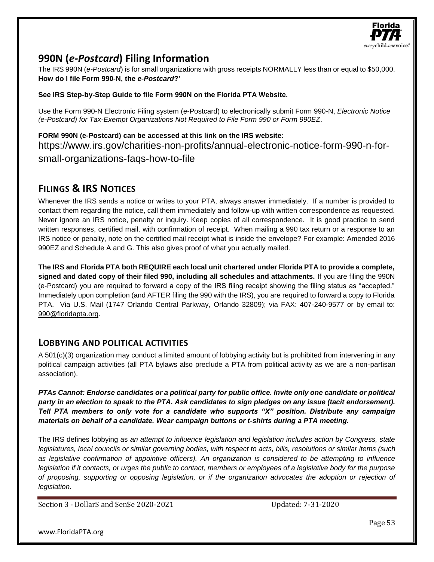

# **990N (***e-Postcard***) Filing Information**

The IRS 990N (*e-Postcard*) is for small organizations with gross receipts NORMALLY less than or equal to \$50,000. **How do I file Form 990-N, the** *e-Postcard***?'**

**See IRS Step-by-Step Guide to file Form 990N on the Florida PTA Website.**

Use the Form 990-N Electronic Filing system (e-Postcard) to electronically submit Form 990-N, *Electronic Notice (e-Postcard) for Tax-Exempt Organizations Not Required to File Form 990 or Form 990EZ*.

**FORM 990N (e-Postcard) can be accessed at this link on the IRS website:** https://www.irs.gov/charities-non-profits/annual-electronic-notice-form-990-n-forsmall-organizations-faqs-how-to-file

## **FILINGS & IRS NOTICES**

Whenever the IRS sends a notice or writes to your PTA, always answer immediately. If a number is provided to contact them regarding the notice, call them immediately and follow-up with written correspondence as requested. Never ignore an IRS notice, penalty or inquiry. Keep copies of all correspondence. It is good practice to send written responses, certified mail, with confirmation of receipt. When mailing a 990 tax return or a response to an IRS notice or penalty, note on the certified mail receipt what is inside the envelope? For example: Amended 2016 990EZ and Schedule A and G. This also gives proof of what you actually mailed.

**The IRS and Florida PTA both REQUIRE each local unit chartered under Florida PTA to provide a complete, signed and dated copy of their filed 990, including all schedules and attachments.** If you are filing the 990N (e-Postcard) you are required to forward a copy of the IRS filing receipt showing the filing status as "accepted." Immediately upon completion (and AFTER filing the 990 with the IRS), you are required to forward a copy to Florida PTA. Via U.S. Mail (1747 Orlando Central Parkway, Orlando 32809); via FAX: 407-240-9577 or by email to: 990@floridapta.org.

## **LOBBYING AND POLITICAL ACTIVITIES**

A 501(c)(3) organization may conduct a limited amount of lobbying activity but is prohibited from intervening in any political campaign activities (all PTA bylaws also preclude a PTA from political activity as we are a non-partisan association).

*PTAs Cannot: Endorse candidates or a political party for public office. Invite only one candidate or political party in an election to speak to the PTA. Ask candidates to sign pledges on any issue (tacit endorsement). Tell PTA members to only vote for a candidate who supports "X" position. Distribute any campaign materials on behalf of a candidate. Wear campaign buttons or t-shirts during a PTA meeting.*

The IRS defines lobbying as *an attempt to influence legislation and legislation includes action by Congress, state legislatures, local councils or similar governing bodies, with respect to acts, bills, resolutions or similar items (such as legislative confirmation of appointive officers). An organization is considered to be attempting to influence legislation if it contacts, or urges the public to contact, members or employees of a legislative body for the purpose of proposing, supporting or opposing legislation, or if the organization advocates the adoption or rejection of legislation.*

Section 3 - Dollar\$ and \$en\$e 2020-2021 Updated: 7-31-2020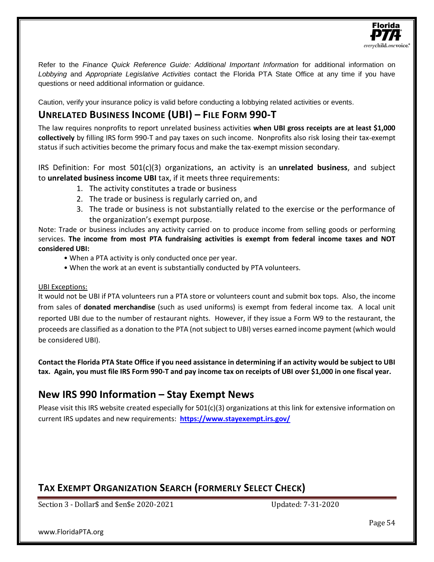

Refer to the *Finance Quick Reference Guide: Additional Important Information* for additional information on *Lobbying* and *Appropriate Legislative Activities* contact the Florida PTA State Office at any time if you have questions or need additional information or guidance.

Caution, verify your insurance policy is valid before conducting a lobbying related activities or events.

## **UNRELATED BUSINESS INCOME (UBI) – FILE FORM 990-T**

The law requires nonprofits to report unrelated business activities **when UBI gross receipts are at least \$1,000 collectively** by filling IRS form 990-T and pay taxes on such income. Nonprofits also risk losing their tax-exempt status if such activities become the primary focus and make the tax-exempt mission secondary.

IRS Definition: For most 501(c)(3) organizations, an activity is an **unrelated business**, and subject to **unrelated business income UBI** tax, if it meets three requirements:

- 1. The activity constitutes a trade or business
- 2. The trade or business is regularly carried on, and
- 3. The trade or business is not substantially related to the exercise or the performance of the organization's exempt purpose.

Note: Trade or business includes any activity carried on to produce income from selling goods or performing services. **The income from most PTA fundraising activities is exempt from federal income taxes and NOT considered UBI:**

- When a PTA activity is only conducted once per year.
- When the work at an event is substantially conducted by PTA volunteers.

#### UBI Exceptions:

It would not be UBI if PTA volunteers run a PTA store or volunteers count and submit box tops. Also, the income from sales of **donated merchandise** (such as used uniforms) is exempt from federal income tax. A local unit reported UBI due to the number of restaurant nights. However, if they issue a Form W9 to the restaurant, the proceeds are classified as a donation to the PTA (not subject to UBI) verses earned income payment (which would be considered UBI).

**Contact the Florida PTA State Office if you need assistance in determining if an activity would be subject to UBI tax. Again, you must file IRS Form 990-T and pay income tax on receipts of UBI over \$1,000 in one fiscal year.**

# **New IRS 990 Information – Stay Exempt News**

Please visit this IRS website created especially for  $501(c)(3)$  organizations at this link for extensive information on current IRS updates and new requirements: **<https://www.stayexempt.irs.gov/>**

# **TAX EXEMPT ORGANIZATION SEARCH (FORMERLY SELECT CHECK)**

Section 3 - Dollar\$ and \$en\$e 2020-2021 Updated: 7-31-2020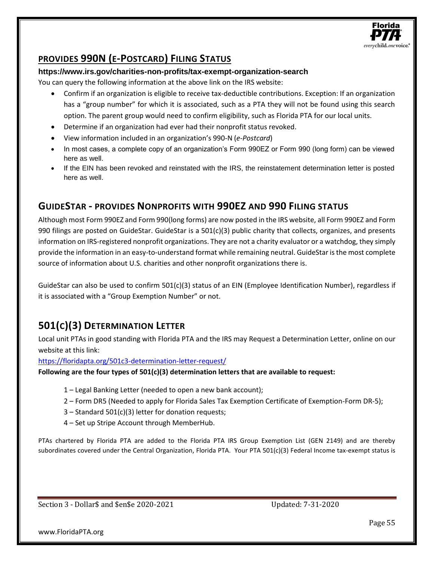

# **PROVIDES 990N (E-POSTCARD) FILING STATUS**

#### **https://www.irs.gov/charities-non-profits/tax-exempt-organization-search**

You can query the following information at the above link on the IRS website:

- Confirm if an organization is eligible to receive tax-deductible contributions. Exception: If an organization has a "group number" for which it is associated, such as a PTA they will not be found using this search option. The parent group would need to confirm eligibility, such as Florida PTA for our local units.
- Determine if an organization had ever had their nonprofit status revoked.
- View information included in an organization's 990-N (*e-Postcard*)
- In most cases, a complete copy of an organization's Form 990EZ or Form 990 (long form) can be viewed here as well.
- If the EIN has been revoked and reinstated with the IRS, the reinstatement determination letter is posted here as well.

## **GUIDESTAR - PROVIDES NONPROFITS WITH 990EZ AND 990 FILING STATUS**

Although most Form 990EZ and Form 990(long forms) are now posted in the IRS website, all Form 990EZ and Form 990 filings are posted on GuideStar. GuideStar is a 501(c)(3) public charity that collects, organizes, and presents information on IRS-registered nonprofit organizations. They are not a charity evaluator or a watchdog, they simply provide the information in an easy-to-understand format while remaining neutral. GuideStar is the most complete source of information about U.S. charities and other nonprofit organizations there is.

GuideStar can also be used to confirm 501(c)(3) status of an EIN (Employee Identification Number), regardless if it is associated with a "Group Exemption Number" or not.

# **501(C)(3) DETERMINATION LETTER**

Local unit PTAs in good standing with Florida PTA and the IRS may Request a Determination Letter, online on our website at this link:

<https://floridapta.org/501c3-determination-letter-request/>

**Following are the four types of 501(c)(3) determination letters that are available to request:**

- 1 Legal Banking Letter (needed to open a new bank account);
- 2 Form DR5 (Needed to apply for Florida Sales Tax Exemption Certificate of Exemption-Form DR-5);
- 3 Standard 501(c)(3) letter for donation requests;
- 4 Set up Stripe Account through MemberHub.

PTAs chartered by Florida PTA are added to the Florida PTA IRS Group Exemption List (GEN 2149) and are thereby subordinates covered under the Central Organization, Florida PTA. Your PTA 501(c)(3) Federal Income tax-exempt status is

Section 3 - Dollar\$ and \$en\$e 2020-2021 Updated: 7-31-2020